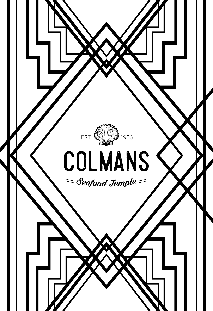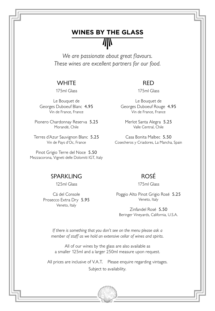# **WINES BY THE GLASS** Æ

*We are passionate about great flavours. These wines are excellent partners for our food.*

#### **WHITE**

175ml Glass

Le Bouquet de Georges Duboeuf Blanc 4.95 Vin de France, France

Pionero Chardonnay Reserva 5.25 Morandé, Chile

Terres d'Azur Sauvignon Blanc 5.25 Vin de Pays d'Oc, France

Pinot Grigio Terre del Noce 5.50 Mezzacorona, Vigneti delle Dolomiti IGT, Italy

#### RED

175ml Glass

Le Bouquet de Georges Duboeuf Rouge 4.95 Vin de France, France

Merlot Santa Alegra 5.25 Valle Central, Chile

Casa Bonita Malbec 5.50 Cosecheros y Criadores, La Mancha, Spain

#### SPARKI ING

125ml Glass

Cá del Console Prosecco Extra Dry 5.95 Veneto, Italy

## ROSÉ

175ml Glass

Poggio Alto Pinot Grigio Rosé 5.25 Veneto, Italy

Zinfandel Rosé 5.50 Beringer Vineyards, California, U.S.A.

*If there is something that you don't see on the menu please ask a member of staff as we hold an extensive cellar of wines and spirits.* 

All of our wines by the glass are also available as a smaller 125ml and a larger 250ml measure upon request.

All prices are inclusive of V.A.T. Please enquire regarding vintages.

Subject to availability.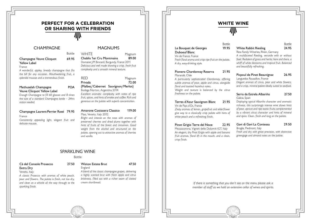# **PERFECT FOR A CELEBRATION OR SHARING WITH FRIENDS** ШN

Bottle

#### CHAMPAGNE

#### Champagne Veuve Clicquot 69.95 Yellow Label

#### France

*A wonderful, appley, bready champagne that fits the bill for any occasion. Mouthwatering fruit, a splendid mousse and a tremendous finish.*

#### Methuselah Champagne POA Veuve Clicquot Yellow Label

*Enough Champagne to fill 60 glasses and 8 times the size of a standard Champagne bottle – 24hrs notice needed.* 

#### Champagne Laurent-Perrier Rosé 79.95

#### France

*Consistently appealing light, elegant fruit and delicate mousse.*

## **MAGNUMS**

#### WHITE Magnum

Chablis 1er Cru Montmains 89.00 Domaine J-M Brocard, Burgundy, France 2011

*Delicious and well made showing a crisp, fresh fruit complexity and a smooth mineral texture.*

RED Magnum Privada 72.00 (Malbec/Cabernet Sauvignon/Merlot) Bodega Norton, Argentina 2014 *Excellent aromatic complexity with notes of ripe fruit, spices, and hints of smoke and coffee. Rich and generous on the palate with superb concentration.*

#### Amarone Costasera Classico 119.00 Masi, Veneto, Italy 2012

*Bright and intense on the nose with aromas of preserved cherries and dried plums together with hints of fruits of the forest and cinnamon. Good weight from the alcohol and structured on the palate, opening out to attractive aromas of cherries and vanilla.*

#### SPARKLING WINE

#### Bottle

# Cá del Console Prosecco 27.50

#### Extra Dry Veneto, Italy

*A classic Prosecco with aromas of white peach, pear and flowers. The palate is fresh, not too dry, and clean as a whistle all the way through to the sparkling finish.*

# Wiston Estate Brut 47.50

*A blend of the classic champagne grapes, delivering a highly scented brut with fresh apple and citrus briskness, filled out with a richer seam of clotted cream shortbread.*

#### Le Bouquet de Georges 19.95 Duboeuf Blanc

*A dry, easy-drinking style.*

*freshness on the palate.*

Vin de Pays d'Oc, France

*floral and toasted hazelnut notes.*

*white peach and a refreshing finish.*

Morandé, Chile



Pionero Chardonnay Reserva 21.95

*A particularly sophisticated Chardonnay, offering subtle aromas of pear, apple and citrus, alongside* 

*Weight and texture is balanced by the citrus* 

Terres d'Azur Sauvignon Blanc 21.95

*Zesty aromas of lemon, grapefruit and elderflower give way to a classically crisp palate with hints of* 

Bottle White Rabbit Riesling 24.95

**WHITE WINE**

ШN

# Bottle

Ress Family Wineries, Rhein, Germany *A multifaceted Riesling, versatile with or without food. Redolent of grass and herbs; here and there, a whiff of white blossoms and tropical fruit. Balanced and beautifully refreshing.*

# Picpoul de Pinet Beauvignac 26.95

Languedoc Roussillon, France

*Elegant aromas of citrus, pear and white flowers, and a crisp, mineral palate ideally suited to seafood.*

#### Serra da Estrela Albariño 27.50 Galicia, Spain

*Displaying typical Albariño character and aromatic richness, this surprisingly intense wine shows hints of pear, apricot and ripe exotic fruits complemented by a vibrant citrus character and hints of mineral and spice. Clean, fresh and long on the palate.*

#### Pinot Grigio Terre del Noce 22.95

Mezzacorona, Vigneti delle Dolomiti IGT, Italy *An elegant, dry Pinot Grigio with apple and banana fruit aromas, floral lift in the mouth, and a clean, crisp finish.*

#### Gavi di Gavi La Contessa 29.50 Broglia, Piedmont, Italy

*Fresh and dry with great precision, with distinctive greengage and almond notes on the palate.*

*If there is something that you don't see on the menu please ask a member of staff as we hold an extensive cellar of wines and spirits.* 

# England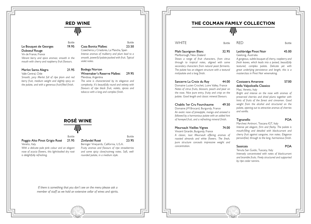# **RED WINE** ∕∕IIN

#### Le Bouquet de Georges 19.95 Duboeuf Rouge

Vin de France, France *Vibrant berry and spice aromas; smooth in the* 

*mouth with cherry and raspberry fruit flavours.*

#### Merlot Santa Alegra 21.95

Valle Central, Chile

*Smooth, juicy Merlot full of ripe plum and red berry fruit, medium weight and slightly spicy on the palate, and with a generous fruit-filled finish.*

#### Bottle

#### Bottle Casa Bonita Malbec 23.50

Cosecheros y Criadores, La Mancha, Spain *Intense aromas of mulberry and plum lead to a smooth, powerful palate packed with fruit. Typical violet notes.*

#### Bodega Norton Winemaker's Reserve Malbec 29.95 Mendosa, Argentina

*The wine is characterized by its elegance and complexity. It's beautifully round and velvety with flavours of ripe black fruit, violets, spices and tobacco with a long and complex finish.*

# **ROSÉ WINE**

Bottle

## Poggio Alto Pinot Grigio Rosé 21.95

Veneto, Italy *With a delicate pale pink colour and an elegant nose of acacia flowers, this light-bodied dry rosé is delightfully refreshing.*

## Zinfandel Rosé 23.95

Beringer Vineyards, California, U.S.A. *Fruity aromas and flavours of ripe strawberries and some spicy clove/nutmeg notes. Soft, wellrounded palate, in a medium style.*

*If there is something that you don't see on the menu please ask a member of staff as we hold an extensive cellar of wines and spirits.* 

#### WHITE Bottle

Mahi Sauvignon Blanc 32.95 Marlborough, New Zealand

*Shows a range of fruit characters, from citrus through to tropical notes, aligned with some secondary characters from natural yeast ferments. The palate has an elegant structure with a textural mid-palate and a long finish.*

#### Sancerre La Croix du Roy 44.00

Domaine Lucien Crochet, Loire Valley, France *Notes of citrus fruits, blossom, peach and pear on the nose. Nice pure entry, fruity and crisp on the palate. Good length and classic mineral flavours.*

#### Chablis 1er Cru Fourchaume 49.50

Domaine J-M Brocard, Burgundy, France *An exotic nose of pineapple, mango and aniseed is followed by a harmonious palate with an added hint of honeyed fruit, and a refreshing mineral finish.*

#### Meursault Vieilles Vignes 74.00

Vincent Girardin, Burgundy, France *A classic, taut Meursault offering aromas of roasted almonds and white flowers. The fresh, pure structure conceals impressive weight and concentration.*

## Lethbridge Pinot Noir 45.00 Geelong, Australia

**THE COLMAN FAMILY COLLECTION**

//IN

*A gorgeous, subtle bouquet of cherry, raspberry and fresh leaves, which leads into a poised, beautifully textured, complex palate. Delicate yet with great underlying persistence and length, this is a masterclass in Pinot Noir winemaking.*

RED Bottle

#### Costasera Amarone 57.00 della Valpolicella Classico

Masi, Veneto, Italy

*Bright and intense on the nose with aromas of preserved cherries and dried plums together with hints of fruits of the forest and cinnamon. Good weight from the alcohol and structured on the palate, opening out to attractive aromas of cherries and vanilla.*

#### Tignanello POA

Marchesi Antinori, Toscana IGT, Italy *Intense yet elegant, firm and fleshy. The palate is* 

*mouth-filling and detailed with blackcurrant and cherry fruit against sanguine, iron notes. Elegance personified, through to the long, harmonious finish.*

#### Sassicaia POA

Tenuta San Guido, Tuscany, Italy

*Intensely concentrated with notes of blackcurrant and bramble fruits. Finely structured and supported by ripe cedar tannins.*



Bottle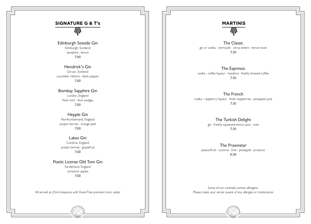# **SIGNATURE G & T's** 抓

Edinburgh Seaside Gin Edinburgh, Scotland samphire · lemon 7.00

Hendrick's Gin Girvan, Scotland cucumber ribbons · black pepper 7.00

Bombay Sapphire Gin London, England fresh mint · lime wedges 7.00

Hepple Gin Northumberland, England juniper berries · orange peel 7.00

Lakes Gin Cumbria, England juniper berries · grapefruit 7.00

Poetic License Old Tom Gin Sunderland, England cinnamon apples 7.00

All served as 25ml measures with Fever-Tree premium tonic water

# **MARTINIS** 狐

The Classic gin or vodka · vermouth · citrus bitters · lemon twist 7.50

The Espresso vodka · coffee liqueur · hazelnut · freshly brewed coffee 7.50

The French vodka · raspberry liqueur · fresh raspberries · pineapple juice 7.50

> The Turkish Delight gin · freshly squeezed lemon juice · rose 7.50

The Prawnstar passionfruit - coconut - lime - pineapple - prosecco 8.00

Some of our cocktails contain allergens. Please make your server aware of any allergies or intolerances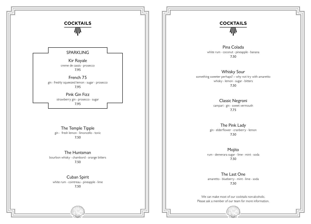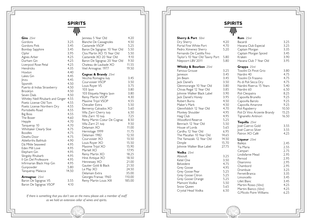小

| Gins $25ml$                      |       | Janneau 5 Year Old              | 4.20   |
|----------------------------------|-------|---------------------------------|--------|
| Gordons                          | 3.25  | <b>Blanche De Cassagnoles</b>   | 4.50   |
| Gordons Pink                     | 3.45  | Castarede VSOP                  | 5.25   |
| Bombay Sapphire                  | 3.45  | Baron De Sigognac 10 Year Old   | 5.50   |
| Ophir                            | 3.95  | Clos Martin XO 15 Year Old      | 5.50   |
| Agnes Arber                      | 4.25  | Castarede XO 20 Year Old        | 9.10   |
| Durham Gin                       | 4.25  | Baron De Sigognac 20 Year Old   | 9.50   |
| Liverpool Rose Petal             | 4.25  | Chateau de Laubade XO           | 11.55  |
| Hendricks                        | 4.35  | Vieil Armagnac 1977             | 19.50  |
| Hoxton                           | 4.40  |                                 |        |
| Lakes Gin                        | 4.45  | <b>Cognac &amp; Brandy</b> 25ml |        |
| inzu                             | 4.45  | Vecchia Romagna Italy           | 3.45   |
| Sipsmith                         | 4.50  | Courvoisier VSOP                | 3.50   |
| Puerto di Indias Strawberry      | 4.50  | Louis Royer VS                  | 3.75   |
| Brooklyn                         | 4.50  | 103 Spain                       | 3.80   |
| Seven Dials                      | 4.50  | 103 Etiqueta Negra Spain        | 3.80   |
| Whitley Neill Rhubarb and Ginger | 4.55  | Remy Martin VSOP                | 4.30   |
| Poetic License Old Tom           | 4.55  | Maxime Trijol VSOP              | 4.55   |
| Poetic License Northern Dry      | 4.55  | Chevalier Extra                 | 5.50   |
| Portobello Road                  | 4.55  | Berneroy Calvados XO            | 5.60   |
| Big Boss                         | 4.55  | Villa Zarri Cherry Italy        | 6.50   |
| The Boxer                        | 4.60  | Villa Zarri 10 Italy            | 7.25   |
| Hepple                           | 4.70  | Remy Martin Coeur De Cognac     | 8.50   |
| Tanqueray 10                     | 4.70  | Villa Zarri 21 Italy            | 9.50   |
| Whittaker Clearly Sloe           | 4.75  | Delamain XO                     | 11.00  |
| <b>Boodles</b>                   | 4.75  | Hermitage 1999                  | 11.75  |
| Deaths Door                      | 4.75  | Delamain 1982                   | 12.50  |
| Ableforths Bathtub               | 4.90  | Courvoisier XO                  | 13.50  |
| Dá Mhìle Seaweed                 | 4.95  | Louis Royer XO                  | 15.50  |
| Eden Mill Love                   | 4.95  | Maxime Trijol XO                | 15.90  |
| Elephant Gin                     | 4.95  | Martell XO                      | 17.95  |
| Slingsby Rhubarb                 | 4.95  | Remy Martin XO                  | 18.25  |
| II Gin Del Professore            | 4.95  | Hine Antique XO                 | 18.50  |
| Infirmarian Black Hop Gin        | 4.95  | Hennessey XO                    | 21.00  |
| Gunpowder                        | 5.80  | Gautier Gold & Black            | 21.50  |
| Tanqueray Malacca                | 14.50 | Le May XO                       | 24.50  |
|                                  |       | Delamain Extra                  | 35.00  |
| <b>Armagnac</b> 25ml             |       | Georges Fransac 1960            | 110.00 |
| Baron De Sigognac VS             | 3.55  | Remy Martin Louis XIII          | 185.00 |
| Baron De Sigognac VSOP           | 4.10  |                                 |        |

*If there is something that you don't see on the menu please ask a member of staff as we hold an extensive cellar of wines and spirits.* 

## **SPIRITS SPIRITS**

| <b>Sherry &amp; Port</b> 50ml<br>Dry Sherry<br>Portal Fine White Port                                                                                                                                                                                                                                                                                                                                                                                  | 4.20<br>4.70                                                                                                                                                             | <b>Rum</b> $25ml$<br>Bacardi<br>Havana Club Especial                                                                                                                                                                                                                                                                                                                                                         | 3.25<br>3.25                                                                                                                                    |  |
|--------------------------------------------------------------------------------------------------------------------------------------------------------------------------------------------------------------------------------------------------------------------------------------------------------------------------------------------------------------------------------------------------------------------------------------------------------|--------------------------------------------------------------------------------------------------------------------------------------------------------------------------|--------------------------------------------------------------------------------------------------------------------------------------------------------------------------------------------------------------------------------------------------------------------------------------------------------------------------------------------------------------------------------------------------------------|-------------------------------------------------------------------------------------------------------------------------------------------------|--|
| Pedro Ximenez Sherry<br>Fernando De Castilla Fino<br>Taylor's 10 Year Old Tawny Port<br>Niepoort LBV 2011                                                                                                                                                                                                                                                                                                                                              | 5.20<br>5.80<br>5.80                                                                                                                                                     | Captain Morgan<br>Captain Morgan Spiced<br>Kraken<br>Havana Club 7 Year Old                                                                                                                                                                                                                                                                                                                                  | 3.35<br>3.45<br>3.90<br>3.95                                                                                                                    |  |
| <b>Whisky &amp; Bourbon</b> 25ml                                                                                                                                                                                                                                                                                                                                                                                                                       |                                                                                                                                                                          | Grappa 25ml                                                                                                                                                                                                                                                                                                                                                                                                  |                                                                                                                                                 |  |
| Famous Grouse<br>lameson<br>lim Beam<br>ack Daniel's<br>Glenmorangie 10 Year Old<br>Chivas Regal 12 Year Old<br>Johnnie Walker Black Label<br>ack Daniel's Honey<br>Robert Burns<br>Maker's Mark<br>Glennfiddich 12 Year Old<br>Monkey Shoulder<br>Haig Club<br><b>Woodford Reserve</b><br>Benriach 12 Year Old<br>House of Lords<br>Cardhu 12 Year Old<br>The Macallan 10 Year Old<br>The Yamazaki 12 Year Old<br>Dimple<br>Johnnie Walker Blue Label | 3.25<br>3.45<br>3.45<br>3.50<br>3.80<br>3.85<br>3.90<br>3.95<br>4.50<br>4.50<br>4.70<br>4.95<br>4.95<br>5.25<br>5.50<br>5.65<br>6.95<br>14.65<br>14.50<br>15.70<br>27.75 | Tosolini Di Pinot Grio<br>Nardini 40<br>Tosolini Di Frassino<br>Po di Poli Secca Dry<br>Nardini Riserva 15 Years<br>Nardini 60<br>Poli Cleopatra<br>Capovilla Brunello<br>Capovilla Barolo<br>Capovilla Amarone<br>Poli Rapsberry<br>Poli Di Vino Arzente Brandy<br>Tignanello Antinori<br>Tequilla 25ml<br>José Cuervo Gold<br>José Cuervo Silver<br>Patron XO Café<br>Liqueur 25ml<br>Baileys<br>Tia Maria | 3.80<br>4.75<br>4.75<br>4.75<br>5.40<br>6.50<br>8.25<br>9.25<br>9.25<br>9.25<br>10.50<br>15.25<br>16.50<br>3.55<br>3.55<br>4.25<br>2.45<br>2.55 |  |
| <b>Vodka</b> 25ml<br>Absoult<br>Ketel One<br>Belvedere<br>Grey Goose<br>Grey Goose Pear<br>Grey Goose Citron<br>Grey Goose Orange<br>Mamont Vodka<br>Snow Queen<br>Crystal Head Vodka                                                                                                                                                                                                                                                                  | 3.25<br>3.50<br>4.75<br>4.95<br>5.25<br>5.25<br>5.25<br>5.50<br>5.65<br>6.50                                                                                             | Campari<br>Lindisfarne Mead<br>Pernod<br>Disaronno<br>Chambord<br>Drambuie<br>Fernet-Branca<br>Limoncello<br>Lillet Blanc<br>Martini Rosso (50ml)<br>Martini Bianco (50ml)<br>G. Micolo Poire Williams                                                                                                                                                                                                       | 2.75<br>2.95<br>2.95<br>2.95<br>2.95<br>3.25<br>3.35<br>3.45<br>3.45<br>4.25<br>4.25<br>6.25                                                    |  |